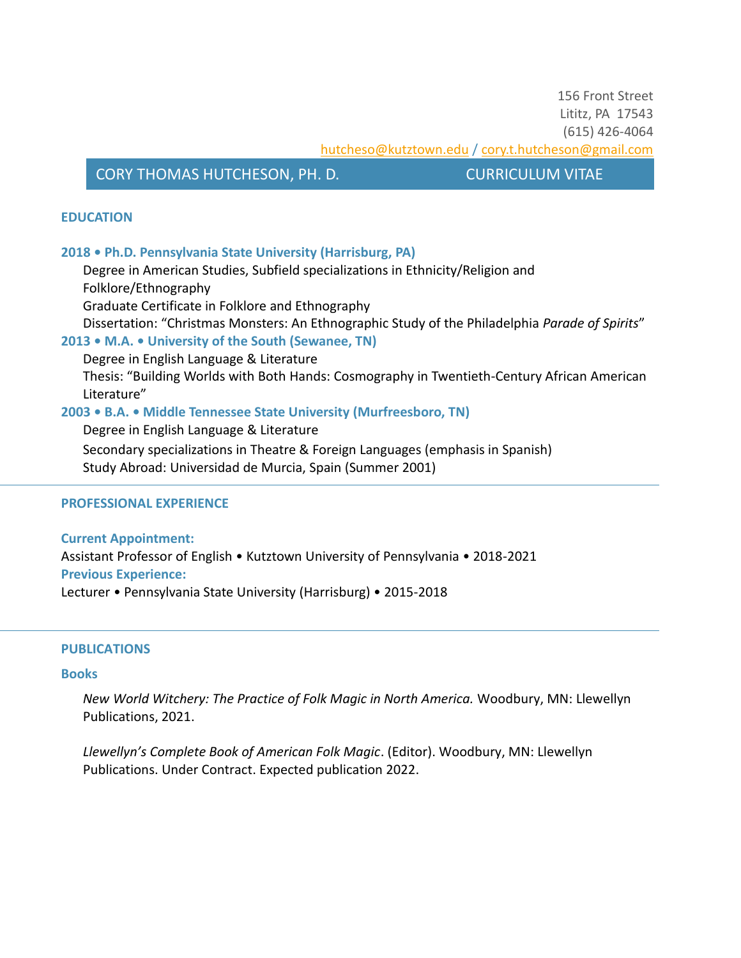156 Front Street Lititz, PA 17543 (615) 426-4064 hutcheso@kutztown.edu [/ cory.t.hutcheson@gmail.com](mailto:cory.t.hutcheson@gmail.com)

# CORY THOMAS HUTCHESON, PH. D. CURRICULUM VITAE

## **EDUCATION**

## **2018 • Ph.D. Pennsylvania State University (Harrisburg, PA)**

Degree in American Studies, Subfield specializations in Ethnicity/Religion and Folklore/Ethnography

Graduate Certificate in Folklore and Ethnography

Dissertation: "Christmas Monsters: An Ethnographic Study of the Philadelphia *Parade of Spirits*" **2013 • M.A. • University of the South (Sewanee, TN)**

Degree in English Language & Literature

Thesis: "Building Worlds with Both Hands: Cosmography in Twentieth-Century African American Literature"

## **2003 • B.A. • Middle Tennessee State University (Murfreesboro, TN)**

Degree in English Language & Literature

Secondary specializations in Theatre & Foreign Languages (emphasis in Spanish)

Study Abroad: Universidad de Murcia, Spain (Summer 2001)

### **PROFESSIONAL EXPERIENCE**

**Current Appointment:** Assistant Professor of English • Kutztown University of Pennsylvania • 2018-2021 **Previous Experience:** Lecturer • Pennsylvania State University (Harrisburg) • 2015-2018

### **PUBLICATIONS**

### **Books**

*New World Witchery: The Practice of Folk Magic in North America.* Woodbury, MN: Llewellyn Publications, 2021.

*Llewellyn's Complete Book of American Folk Magic*. (Editor). Woodbury, MN: Llewellyn Publications. Under Contract. Expected publication 2022.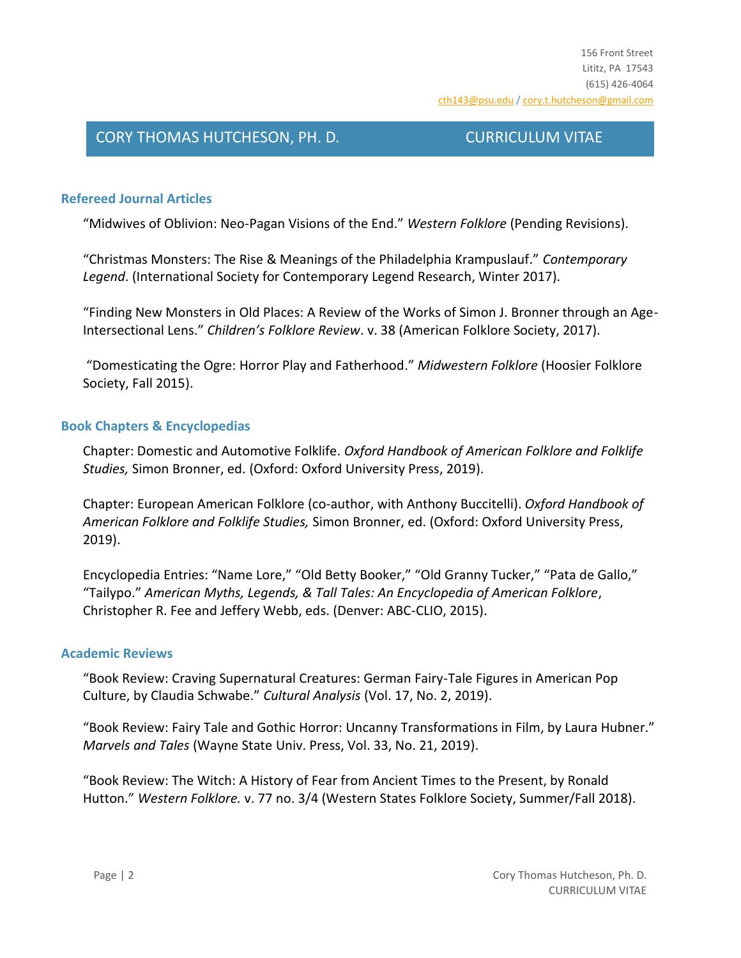# **Refereed Journal Articles**

"Midwives of Oblivion: Neo-Pagan Visions of the End." *Western Folklore* (Pending Revisions).

"Christmas Monsters: The Rise & Meanings of the Philadelphia Krampuslauf." *Contemporary Legend*. (International Society for Contemporary Legend Research, Winter 2017).

"Finding New Monsters in Old Places: A Review of the Works of Simon J. Bronner through an Age-Intersectional Lens." *Children's Folklore Review*. v. 38 (American Folklore Society, 2017).

"Domesticating the Ogre: Horror Play and Fatherhood." *Midwestern Folklore* (Hoosier Folklore Society, Fall 2015).

## **Book Chapters & Encyclopedias**

Chapter: Domestic and Automotive Folklife. *Oxford Handbook of American Folklore and Folklife Studies,* Simon Bronner, ed. (Oxford: Oxford University Press, 2019).

Chapter: European American Folklore (co-author, with Anthony Buccitelli). *Oxford Handbook of American Folklore and Folklife Studies,* Simon Bronner, ed. (Oxford: Oxford University Press, 2019).

Encyclopedia Entries: "Name Lore," "Old Betty Booker," "Old Granny Tucker," "Pata de Gallo," "Tailypo." *American Myths, Legends, & Tall Tales: An Encyclopedia of American Folklore*, Christopher R. Fee and Jeffery Webb, eds. (Denver: ABC-CLIO, 2015).

### **Academic Reviews**

"Book Review: Craving Supernatural Creatures: German Fairy-Tale Figures in American Pop Culture, by Claudia Schwabe." *Cultural Analysis* (Vol. 17, No. 2, 2019).

"Book Review: Fairy Tale and Gothic Horror: Uncanny Transformations in Film, by Laura Hubner." *Marvels and Tales* (Wayne State Univ. Press, Vol. 33, No. 21, 2019).

"Book Review: The Witch: A History of Fear from Ancient Times to the Present, by Ronald Hutton." *Western Folklore.* v. 77 no. 3/4 (Western States Folklore Society, Summer/Fall 2018).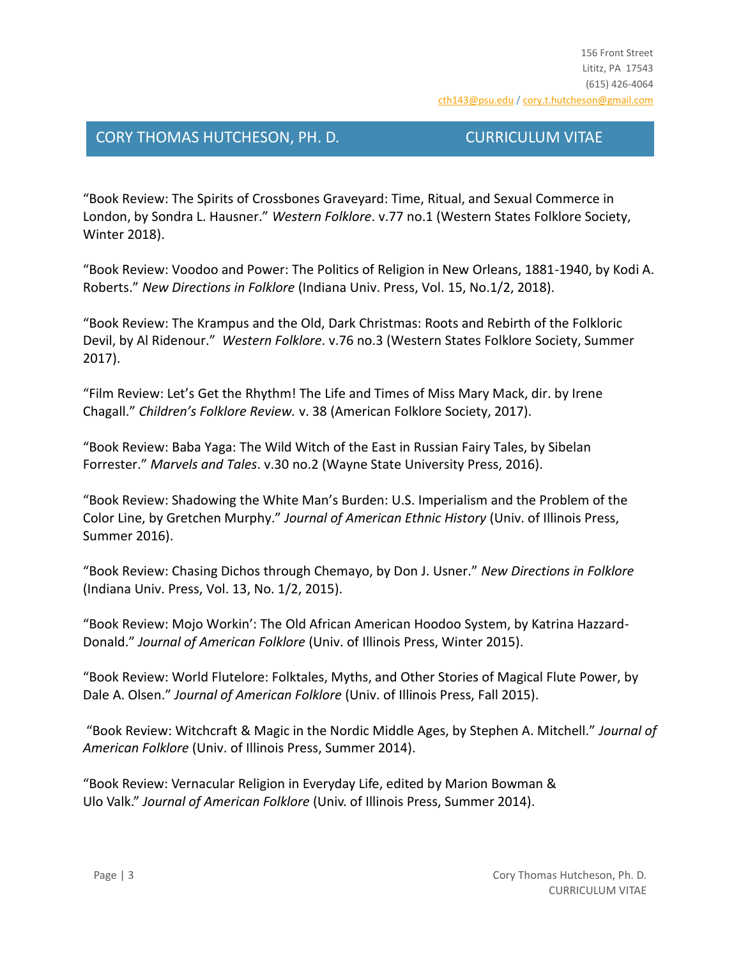"Book Review: The Spirits of Crossbones Graveyard: Time, Ritual, and Sexual Commerce in London, by Sondra L. Hausner." *Western Folklore*. v.77 no.1 (Western States Folklore Society, Winter 2018).

"Book Review: Voodoo and Power: The Politics of Religion in New Orleans, 1881-1940, by Kodi A. Roberts." *New Directions in Folklore* (Indiana Univ. Press, Vol. 15, No.1/2, 2018).

"Book Review: The Krampus and the Old, Dark Christmas: Roots and Rebirth of the Folkloric Devil, by Al Ridenour." *Western Folklore*. v.76 no.3 (Western States Folklore Society, Summer 2017).

"Film Review: Let's Get the Rhythm! The Life and Times of Miss Mary Mack, dir. by Irene Chagall." *Children's Folklore Review.* v. 38 (American Folklore Society, 2017).

"Book Review: Baba Yaga: The Wild Witch of the East in Russian Fairy Tales, by Sibelan Forrester." *Marvels and Tales*. v.30 no.2 (Wayne State University Press, 2016).

"Book Review: Shadowing the White Man's Burden: U.S. Imperialism and the Problem of the Color Line, by Gretchen Murphy." *Journal of American Ethnic History* (Univ. of Illinois Press, Summer 2016).

"Book Review: Chasing Dichos through Chemayo, by Don J. Usner." *New Directions in Folklore* (Indiana Univ. Press, Vol. 13, No. 1/2, 2015).

"Book Review: Mojo Workin': The Old African American Hoodoo System, by Katrina Hazzard-Donald." *Journal of American Folklore* (Univ. of Illinois Press, Winter 2015).

"Book Review: World Flutelore: Folktales, Myths, and Other Stories of Magical Flute Power, by Dale A. Olsen." *Journal of American Folklore* (Univ. of Illinois Press, Fall 2015).

"Book Review: Witchcraft & Magic in the Nordic Middle Ages, by Stephen A. Mitchell." *Journal of American Folklore* (Univ. of Illinois Press, Summer 2014).

"Book Review: Vernacular Religion in Everyday Life, edited by Marion Bowman & Ulo Valk." *Journal of American Folklore* (Univ. of Illinois Press, Summer 2014).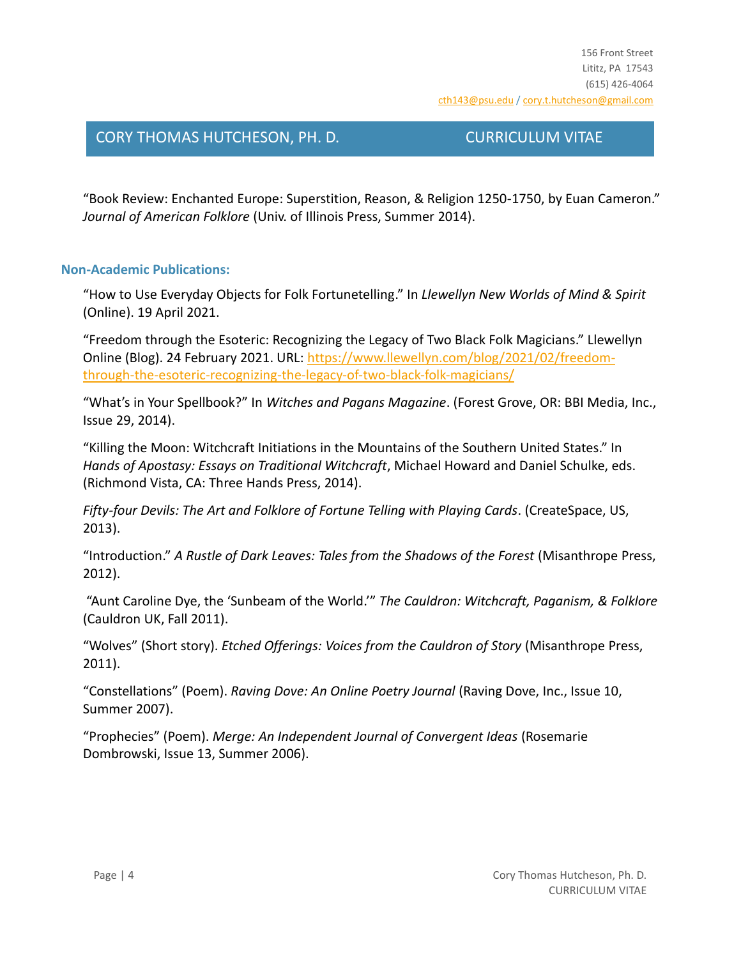"Book Review: Enchanted Europe: Superstition, Reason, & Religion 1250-1750, by Euan Cameron." *Journal of American Folklore* (Univ. of Illinois Press, Summer 2014).

# **Non-Academic Publications:**

"How to Use Everyday Objects for Folk Fortunetelling." In *Llewellyn New Worlds of Mind & Spirit* (Online). 19 April 2021.

"Freedom through the Esoteric: Recognizing the Legacy of Two Black Folk Magicians." Llewellyn Online (Blog). 24 February 2021. URL: [https://www.llewellyn.com/blog/2021/02/freedom](https://www.llewellyn.com/blog/2021/02/freedom-through-the-esoteric-recognizing-the-legacy-of-two-black-folk-magicians/)[through-the-esoteric-recognizing-the-legacy-of-two-black-folk-magicians/](https://www.llewellyn.com/blog/2021/02/freedom-through-the-esoteric-recognizing-the-legacy-of-two-black-folk-magicians/)

"What's in Your Spellbook?" In *Witches and Pagans Magazine*. (Forest Grove, OR: BBI Media, Inc., Issue 29, 2014).

"Killing the Moon: Witchcraft Initiations in the Mountains of the Southern United States." In *Hands of Apostasy: Essays on Traditional Witchcraft*, Michael Howard and Daniel Schulke, eds. (Richmond Vista, CA: Three Hands Press, 2014).

*Fifty-four Devils: The Art and Folklore of Fortune Telling with Playing Cards*. (CreateSpace, US, 2013).

"Introduction." *A Rustle of Dark Leaves: Tales from the Shadows of the Forest* (Misanthrope Press, 2012).

"Aunt Caroline Dye, the 'Sunbeam of the World.'" *The Cauldron: Witchcraft, Paganism, & Folklore* (Cauldron UK, Fall 2011).

"Wolves" (Short story). *Etched Offerings: Voices from the Cauldron of Story* (Misanthrope Press, 2011).

"Constellations" (Poem). *Raving Dove: An Online Poetry Journal* (Raving Dove, Inc., Issue 10, Summer 2007).

"Prophecies" (Poem). *Merge: An Independent Journal of Convergent Ideas* (Rosemarie Dombrowski, Issue 13, Summer 2006).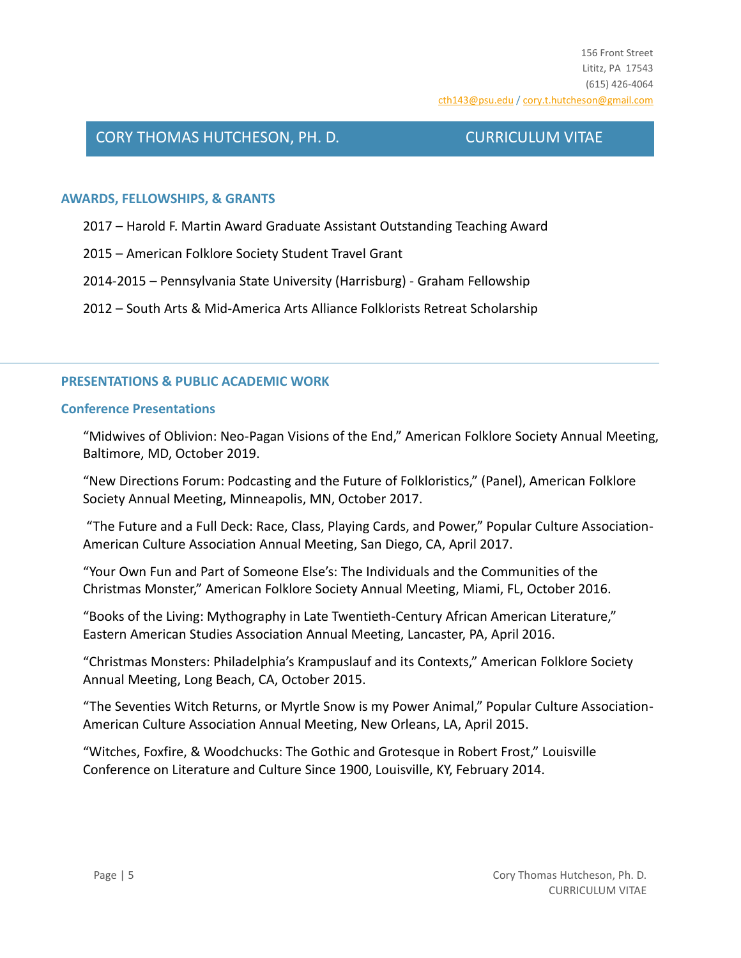## **AWARDS, FELLOWSHIPS, & GRANTS**

2017 – Harold F. Martin Award Graduate Assistant Outstanding Teaching Award

- 2015 American Folklore Society Student Travel Grant
- 2014-2015 Pennsylvania State University (Harrisburg) Graham Fellowship

2012 – South Arts & Mid-America Arts Alliance Folklorists Retreat Scholarship

## **PRESENTATIONS & PUBLIC ACADEMIC WORK**

### **Conference Presentations**

"Midwives of Oblivion: Neo-Pagan Visions of the End," American Folklore Society Annual Meeting, Baltimore, MD, October 2019.

"New Directions Forum: Podcasting and the Future of Folkloristics," (Panel), American Folklore Society Annual Meeting, Minneapolis, MN, October 2017.

"The Future and a Full Deck: Race, Class, Playing Cards, and Power," Popular Culture Association-American Culture Association Annual Meeting, San Diego, CA, April 2017.

"Your Own Fun and Part of Someone Else's: The Individuals and the Communities of the Christmas Monster," American Folklore Society Annual Meeting, Miami, FL, October 2016.

"Books of the Living: Mythography in Late Twentieth-Century African American Literature," Eastern American Studies Association Annual Meeting, Lancaster, PA, April 2016.

"Christmas Monsters: Philadelphia's Krampuslauf and its Contexts," American Folklore Society Annual Meeting, Long Beach, CA, October 2015.

"The Seventies Witch Returns, or Myrtle Snow is my Power Animal," Popular Culture Association-American Culture Association Annual Meeting, New Orleans, LA, April 2015.

"Witches, Foxfire, & Woodchucks: The Gothic and Grotesque in Robert Frost," Louisville Conference on Literature and Culture Since 1900, Louisville, KY, February 2014.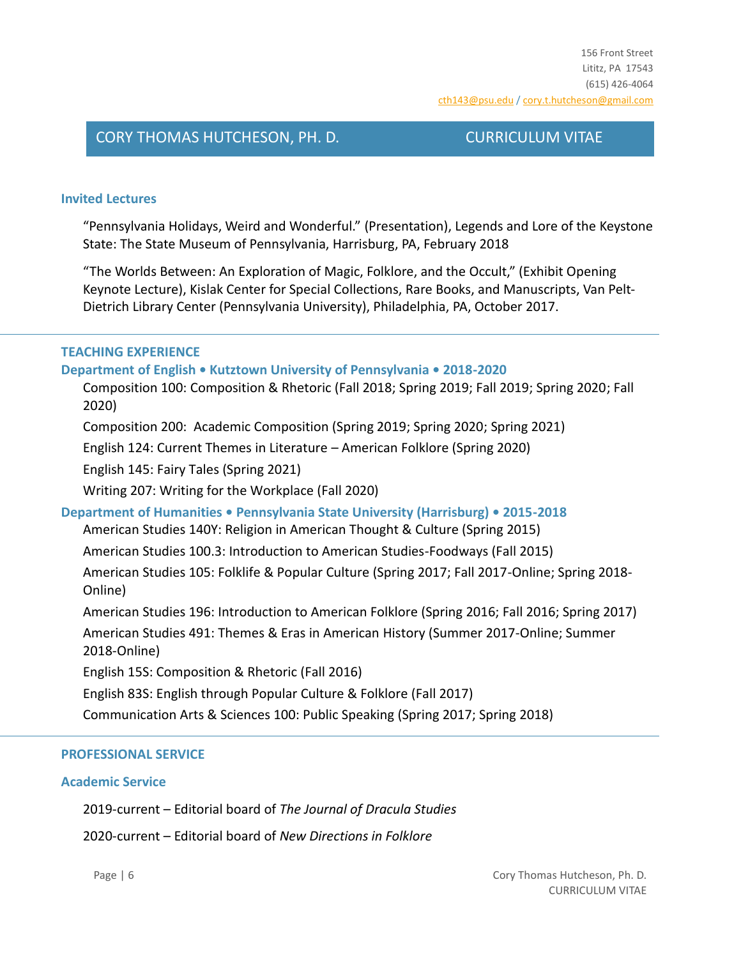## **Invited Lectures**

"Pennsylvania Holidays, Weird and Wonderful." (Presentation), Legends and Lore of the Keystone State: The State Museum of Pennsylvania, Harrisburg, PA, February 2018

"The Worlds Between: An Exploration of Magic, Folklore, and the Occult," (Exhibit Opening Keynote Lecture), Kislak Center for Special Collections, Rare Books, and Manuscripts, Van Pelt-Dietrich Library Center (Pennsylvania University), Philadelphia, PA, October 2017.

## **TEACHING EXPERIENCE**

### **Department of English • Kutztown University of Pennsylvania • 2018-2020**

Composition 100: Composition & Rhetoric (Fall 2018; Spring 2019; Fall 2019; Spring 2020; Fall 2020)

Composition 200: Academic Composition (Spring 2019; Spring 2020; Spring 2021)

English 124: Current Themes in Literature – American Folklore (Spring 2020)

English 145: Fairy Tales (Spring 2021)

Writing 207: Writing for the Workplace (Fall 2020)

## **Department of Humanities • Pennsylvania State University (Harrisburg) • 2015-2018**

American Studies 140Y: Religion in American Thought & Culture (Spring 2015)

American Studies 100.3: Introduction to American Studies-Foodways (Fall 2015)

American Studies 105: Folklife & Popular Culture (Spring 2017; Fall 2017-Online; Spring 2018- Online)

American Studies 196: Introduction to American Folklore (Spring 2016; Fall 2016; Spring 2017)

American Studies 491: Themes & Eras in American History (Summer 2017-Online; Summer 2018-Online)

English 15S: Composition & Rhetoric (Fall 2016)

English 83S: English through Popular Culture & Folklore (Fall 2017)

Communication Arts & Sciences 100: Public Speaking (Spring 2017; Spring 2018)

### **PROFESSIONAL SERVICE**

### **Academic Service**

2019-current – Editorial board of *The Journal of Dracula Studies*

2020-current – Editorial board of *New Directions in Folklore*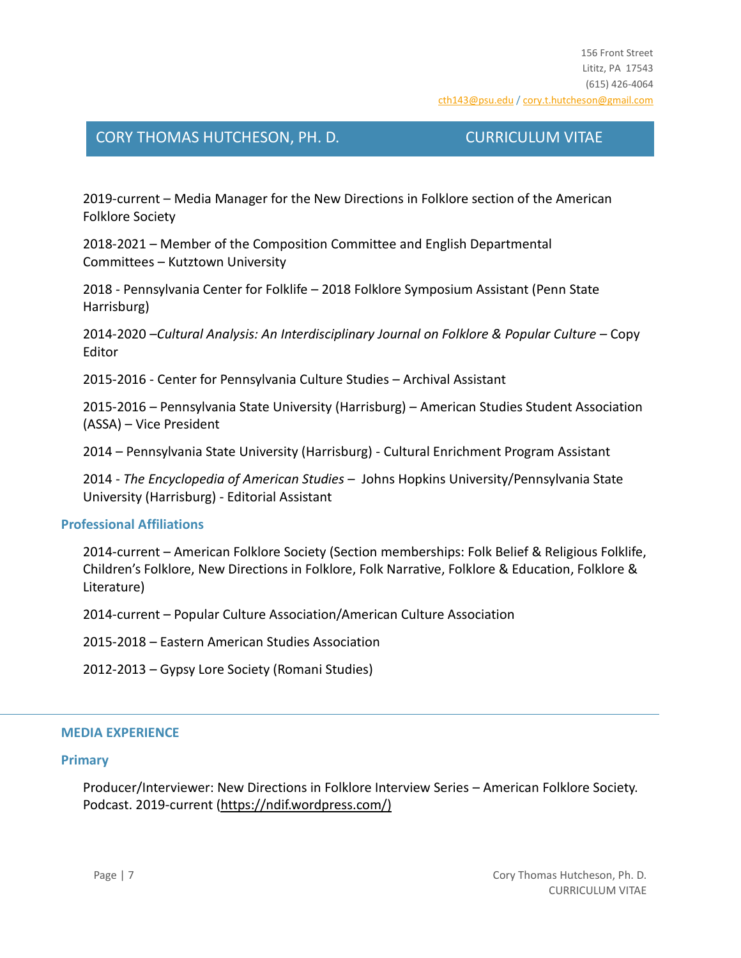2019-current – Media Manager for the New Directions in Folklore section of the American Folklore Society

2018-2021 – Member of the Composition Committee and English Departmental Committees – Kutztown University

2018 - Pennsylvania Center for Folklife – 2018 Folklore Symposium Assistant (Penn State Harrisburg)

2014-2020 –*Cultural Analysis: An Interdisciplinary Journal on Folklore & Popular Culture* – Copy Editor

2015-2016 - Center for Pennsylvania Culture Studies – Archival Assistant

2015-2016 – Pennsylvania State University (Harrisburg) – American Studies Student Association (ASSA) – Vice President

2014 – Pennsylvania State University (Harrisburg) - Cultural Enrichment Program Assistant

2014 - *The Encyclopedia of American Studies* – Johns Hopkins University/Pennsylvania State University (Harrisburg) - Editorial Assistant

### **Professional Affiliations**

2014-current – American Folklore Society (Section memberships: Folk Belief & Religious Folklife, Children's Folklore, New Directions in Folklore, Folk Narrative, Folklore & Education, Folklore & Literature)

2014-current – Popular Culture Association/American Culture Association

2015-2018 – Eastern American Studies Association

2012-2013 – Gypsy Lore Society (Romani Studies)

### **MEDIA EXPERIENCE**

### **Primary**

Producer/Interviewer: New Directions in Folklore Interview Series – American Folklore Society. Podcast. 2019-current (https://ndif.wordpress.com/)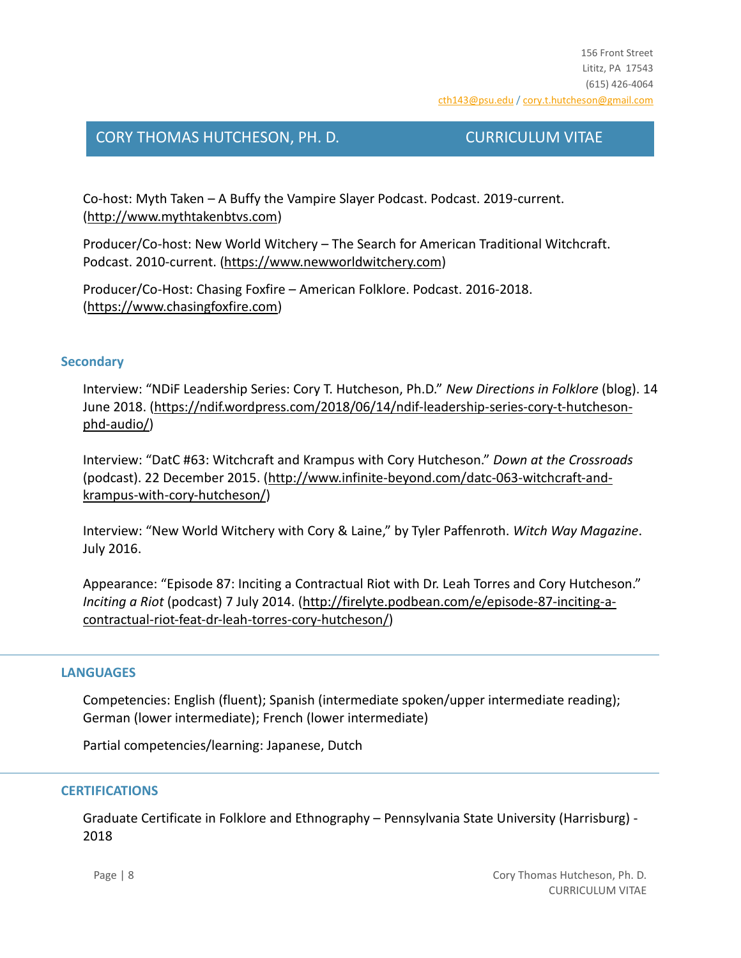Co-host: Myth Taken – A Buffy the Vampire Slayer Podcast. Podcast. 2019-current. [\(http://www.mythtakenbtvs.com\)](http://www.mythtakenbtvs.com/)

Producer/Co-host: New World Witchery – The Search for American Traditional Witchcraft. Podcast. 2010-current. [\(https://www.newworldwitchery.com\)](https://www.newworldwitchery.com/)

Producer/Co-Host: Chasing Foxfire – American Folklore. Podcast. 2016-2018. [\(https://www.chasingfoxfire.com\)](https://www.chasingfoxfire.com/)

## **Secondary**

Interview: "NDiF Leadership Series: Cory T. Hutcheson, Ph.D." *New Directions in Folklore* (blog). 14 June 2018. [\(https://ndif.wordpress.com/2018/06/14/ndif-leadership-series-cory-t-hutcheson](https://ndif.wordpress.com/2018/06/14/ndif-leadership-series-cory-t-hutcheson-phd-audio/)[phd-audio/\)](https://ndif.wordpress.com/2018/06/14/ndif-leadership-series-cory-t-hutcheson-phd-audio/)

Interview: "DatC #63: Witchcraft and Krampus with Cory Hutcheson." *Down at the Crossroads* (podcast). 22 December 2015. [\(http://www.infinite-beyond.com/datc-063-witchcraft-and](http://www.infinite-beyond.com/datc-063-witchcraft-and-krampus-with-cory-hutcheson/)[krampus-with-cory-hutcheson/\)](http://www.infinite-beyond.com/datc-063-witchcraft-and-krampus-with-cory-hutcheson/)

Interview: "New World Witchery with Cory & Laine," by Tyler Paffenroth. *Witch Way Magazine*. July 2016.

Appearance: "Episode 87: Inciting a Contractual Riot with Dr. Leah Torres and Cory Hutcheson." *Inciting a Riot* (podcast) 7 July 2014. [\(http://firelyte.podbean.com/e/episode-87-inciting-a](http://firelyte.podbean.com/e/episode-87-inciting-a-contractual-riot-feat-dr-leah-torres-cory-hutcheson/)[contractual-riot-feat-dr-leah-torres-cory-hutcheson/\)](http://firelyte.podbean.com/e/episode-87-inciting-a-contractual-riot-feat-dr-leah-torres-cory-hutcheson/)

## **LANGUAGES**

Competencies: English (fluent); Spanish (intermediate spoken/upper intermediate reading); German (lower intermediate); French (lower intermediate)

Partial competencies/learning: Japanese, Dutch

## **CERTIFICATIONS**

Graduate Certificate in Folklore and Ethnography – Pennsylvania State University (Harrisburg) - 2018